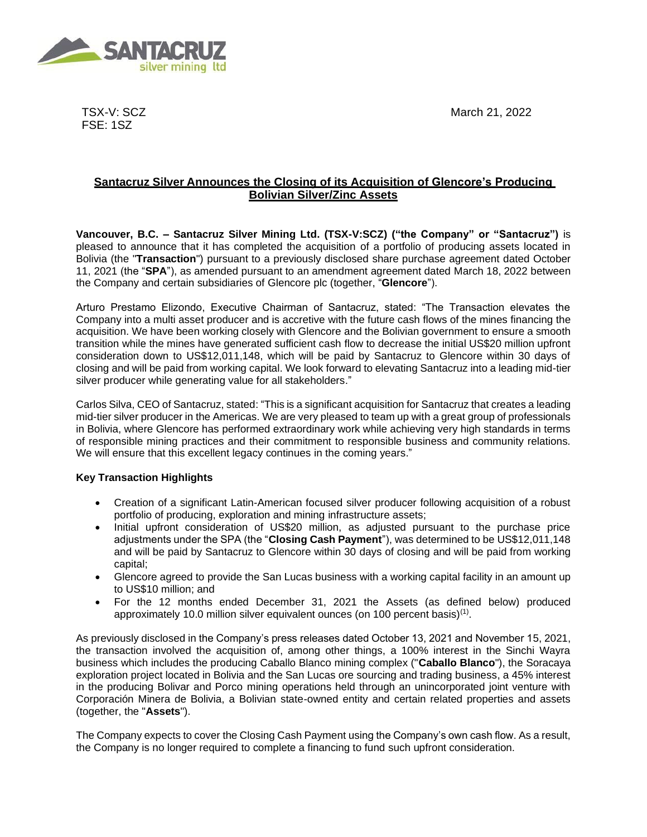March 21, 2022



TSX-V: SCZ FSE: 1SZ

## **Santacruz Silver Announces the Closing of its Acquisition of Glencore's Producing Bolivian Silver/Zinc Assets**

**Vancouver, B.C. – Santacruz Silver Mining Ltd. (TSX-V:SCZ) ("the Company" or "Santacruz")** is pleased to announce that it has completed the acquisition of a portfolio of producing assets located in Bolivia (the "**Transaction**") pursuant to a previously disclosed share purchase agreement dated October 11, 2021 (the "**SPA**"), as amended pursuant to an amendment agreement dated March 18, 2022 between the Company and certain subsidiaries of Glencore plc (together, "**Glencore**").

Arturo Prestamo Elizondo, Executive Chairman of Santacruz, stated: "The Transaction elevates the Company into a multi asset producer and is accretive with the future cash flows of the mines financing the acquisition. We have been working closely with Glencore and the Bolivian government to ensure a smooth transition while the mines have generated sufficient cash flow to decrease the initial US\$20 million upfront consideration down to US\$12,011,148, which will be paid by Santacruz to Glencore within 30 days of closing and will be paid from working capital. We look forward to elevating Santacruz into a leading mid-tier silver producer while generating value for all stakeholders."

Carlos Silva, CEO of Santacruz, stated: "This is a significant acquisition for Santacruz that creates a leading mid-tier silver producer in the Americas. We are very pleased to team up with a great group of professionals in Bolivia, where Glencore has performed extraordinary work while achieving very high standards in terms of responsible mining practices and their commitment to responsible business and community relations. We will ensure that this excellent legacy continues in the coming years."

## **Key Transaction Highlights**

- Creation of a significant Latin-American focused silver producer following acquisition of a robust portfolio of producing, exploration and mining infrastructure assets;
- Initial upfront consideration of US\$20 million, as adjusted pursuant to the purchase price adjustments under the SPA (the "**Closing Cash Payment**"), was determined to be US\$12,011,148 and will be paid by Santacruz to Glencore within 30 days of closing and will be paid from working capital;
- Glencore agreed to provide the San Lucas business with a working capital facility in an amount up to US\$10 million; and
- For the 12 months ended December 31, 2021 the Assets (as defined below) produced approximately 10.0 million silver equivalent ounces (on 100 percent basis)<sup>(1)</sup>.

As previously disclosed in the Company's press releases dated October 13, 2021 and November 15, 2021, the transaction involved the acquisition of, among other things, a 100% interest in the Sinchi Wayra business which includes the producing Caballo Blanco mining complex ("**Caballo Blanco**"), the Soracaya exploration project located in Bolivia and the San Lucas ore sourcing and trading business, a 45% interest in the producing Bolivar and Porco mining operations held through an unincorporated joint venture with Corporación Minera de Bolivia, a Bolivian state-owned entity and certain related properties and assets (together, the "**Assets**").

The Company expects to cover the Closing Cash Payment using the Company's own cash flow. As a result, the Company is no longer required to complete a financing to fund such upfront consideration.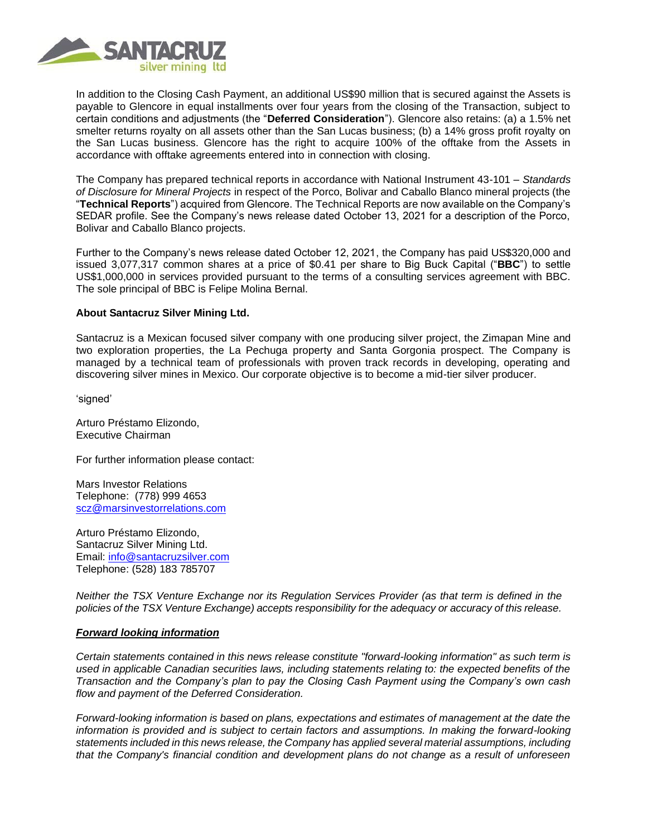

In addition to the Closing Cash Payment, an additional US\$90 million that is secured against the Assets is payable to Glencore in equal installments over four years from the closing of the Transaction, subject to certain conditions and adjustments (the "**Deferred Consideration**"). Glencore also retains: (a) a 1.5% net smelter returns royalty on all assets other than the San Lucas business; (b) a 14% gross profit royalty on the San Lucas business. Glencore has the right to acquire 100% of the offtake from the Assets in accordance with offtake agreements entered into in connection with closing.

The Company has prepared technical reports in accordance with National Instrument 43-101 – *Standards of Disclosure for Mineral Projects* in respect of the Porco, Bolivar and Caballo Blanco mineral projects (the "**Technical Reports**") acquired from Glencore. The Technical Reports are now available on the Company's SEDAR profile. See the Company's news release dated October 13, 2021 for a description of the Porco, Bolivar and Caballo Blanco projects.

Further to the Company's news release dated October 12, 2021, the Company has paid US\$320,000 and issued 3,077,317 common shares at a price of \$0.41 per share to Big Buck Capital ("**BBC**") to settle US\$1,000,000 in services provided pursuant to the terms of a consulting services agreement with BBC. The sole principal of BBC is Felipe Molina Bernal.

## **About Santacruz Silver Mining Ltd.**

Santacruz is a Mexican focused silver company with one producing silver project, the Zimapan Mine and two exploration properties, the La Pechuga property and Santa Gorgonia prospect. The Company is managed by a technical team of professionals with proven track records in developing, operating and discovering silver mines in Mexico. Our corporate objective is to become a mid-tier silver producer.

'signed'

Arturo Préstamo Elizondo, Executive Chairman

For further information please contact:

Mars Investor Relations Telephone: (778) 999 4653 [scz@marsinvestorrelations.com](mailto:scz@marsinvestorrelations.com)

Arturo Préstamo Elizondo, Santacruz Silver Mining Ltd. Email: [info@santacruzsilver.com](mailto:infonmacrae@santacruzsilver.com) Telephone: (528) 183 785707

*Neither the TSX Venture Exchange nor its Regulation Services Provider (as that term is defined in the policies of the TSX Venture Exchange) accepts responsibility for the adequacy or accuracy of this release.*

## *Forward looking information*

*Certain statements contained in this news release constitute "forward-looking information" as such term is used in applicable Canadian securities laws, including statements relating to: the expected benefits of the Transaction and the Company's plan to pay the Closing Cash Payment using the Company's own cash flow and payment of the Deferred Consideration.*

*Forward-looking information is based on plans, expectations and estimates of management at the date the information is provided and is subject to certain factors and assumptions. In making the forward-looking statements included in this news release, the Company has applied several material assumptions, including that the Company's financial condition and development plans do not change as a result of unforeseen*